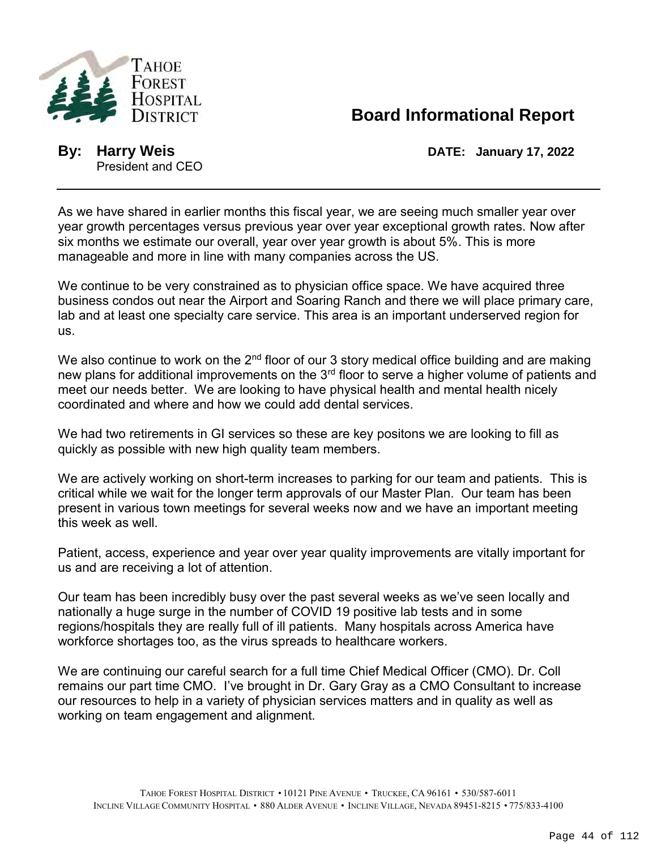

## **Board Informational Report**

President and CEO

**By: Harry Weis DATE: January 17, 2022**

As we have shared in earlier months this fiscal year, we are seeing much smaller year over year growth percentages versus previous year over year exceptional growth rates. Now after six months we estimate our overall, year over year growth is about 5%. This is more manageable and more in line with many companies across the US.

We continue to be very constrained as to physician office space. We have acquired three business condos out near the Airport and Soaring Ranch and there we will place primary care, lab and at least one specialty care service. This area is an important underserved region for us.

We also continue to work on the  $2^{nd}$  floor of our 3 story medical office building and are making new plans for additional improvements on the 3<sup>rd</sup> floor to serve a higher volume of patients and meet our needs better. We are looking to have physical health and mental health nicely coordinated and where and how we could add dental services.

We had two retirements in GI services so these are key positons we are looking to fill as quickly as possible with new high quality team members.

We are actively working on short-term increases to parking for our team and patients. This is critical while we wait for the longer term approvals of our Master Plan. Our team has been present in various town meetings for several weeks now and we have an important meeting this week as well.

Patient, access, experience and year over year quality improvements are vitally important for us and are receiving a lot of attention.

Our team has been incredibly busy over the past several weeks as we've seen locally and nationally a huge surge in the number of COVID 19 positive lab tests and in some regions/hospitals they are really full of ill patients. Many hospitals across America have workforce shortages too, as the virus spreads to healthcare workers.

We are continuing our careful search for a full time Chief Medical Officer (CMO). Dr. Coll remains our part time CMO. I've brought in Dr. Gary Gray as a CMO Consultant to increase our resources to help in a variety of physician services matters and in quality as well as working on team engagement and alignment.